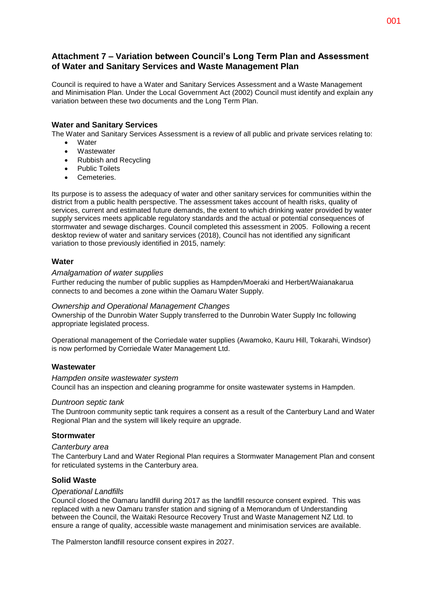# **Attachment 7 – Variation between Council's Long Term Plan and Assessment of Water and Sanitary Services and Waste Management Plan**

Council is required to have a Water and Sanitary Services Assessment and a Waste Management and Minimisation Plan. Under the Local Government Act (2002) Council must identify and explain any variation between these two documents and the Long Term Plan.

# **Water and Sanitary Services**

The Water and Sanitary Services Assessment is a review of all public and private services relating to:

- **Water**
- Wastewater
- Rubbish and Recycling
- Public Toilets
- Cemeteries.

Its purpose is to assess the adequacy of water and other sanitary services for communities within the district from a public health perspective. The assessment takes account of health risks, quality of services, current and estimated future demands, the extent to which drinking water provided by water supply services meets applicable regulatory standards and the actual or potential consequences of stormwater and sewage discharges. Council completed this assessment in 2005. Following a recent desktop review of water and sanitary services (2018), Council has not identified any significant variation to those previously identified in 2015, namely:

## **Water**

#### *Amalgamation of water supplies*

Further reducing the number of public supplies as Hampden/Moeraki and Herbert/Waianakarua connects to and becomes a zone within the Oamaru Water Supply.

#### *Ownership and Operational Management Changes*

Ownership of the Dunrobin Water Supply transferred to the Dunrobin Water Supply Inc following appropriate legislated process.

Operational management of the Corriedale water supplies (Awamoko, Kauru Hill, Tokarahi, Windsor) is now performed by Corriedale Water Management Ltd.

## **Wastewater**

#### *Hampden onsite wastewater system*

Council has an inspection and cleaning programme for onsite wastewater systems in Hampden.

#### *Duntroon septic tank*

The Duntroon community septic tank requires a consent as a result of the Canterbury Land and Water Regional Plan and the system will likely require an upgrade.

#### **Stormwater**

#### *Canterbury area*

The Canterbury Land and Water Regional Plan requires a Stormwater Management Plan and consent for reticulated systems in the Canterbury area.

# **Solid Waste**

#### *Operational Landfills*

Council closed the Oamaru landfill during 2017 as the landfill resource consent expired. This was replaced with a new Oamaru transfer station and signing of a Memorandum of Understanding between the Council, the Waitaki Resource Recovery Trust and Waste Management NZ Ltd. to ensure a range of quality, accessible waste management and minimisation services are available.

The Palmerston landfill resource consent expires in 2027.